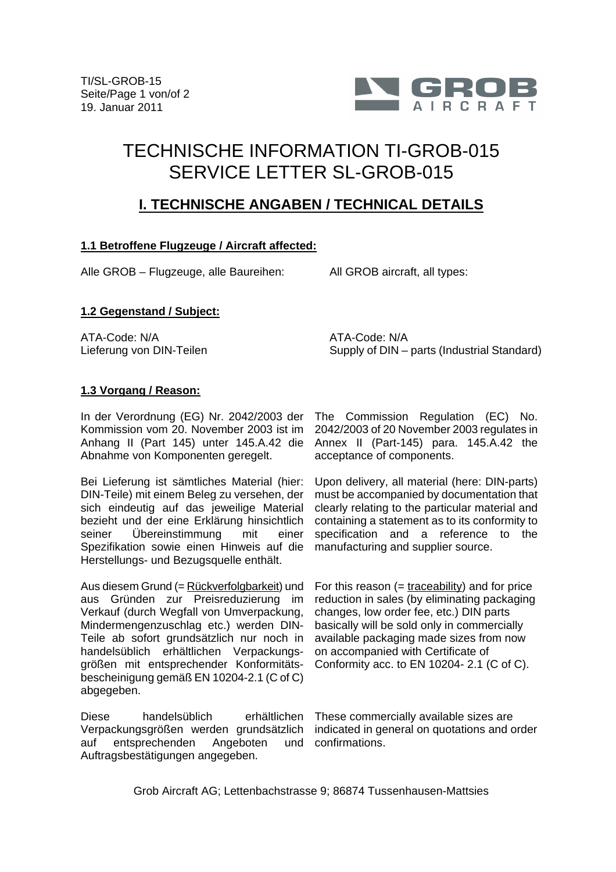

# TECHNISCHE INFORMATION TI-GROB-015 SERVICE LETTER SL-GROB-015

## **I. TECHNISCHE ANGABEN / TECHNICAL DETAILS**

#### **1.1 Betroffene Flugzeuge / Aircraft affected:**

Alle GROB – Flugzeuge, alle Baureihen: All GROB aircraft, all types:

#### **1.2 Gegenstand / Subject:**

ATA-Code: N/A Lieferung von DIN-Teilen ATA-Code: N/A Supply of DIN – parts (Industrial Standard)

#### **1.3 Vorgang / Reason:**

In der Verordnung (EG) Nr. 2042/2003 der The Commission Regulation (EC) No. Kommission vom 20. November 2003 ist im Anhang II (Part 145) unter 145.A.42 die Abnahme von Komponenten geregelt.

Bei Lieferung ist sämtliches Material (hier: DIN-Teile) mit einem Beleg zu versehen, der sich eindeutig auf das jeweilige Material bezieht und der eine Erklärung hinsichtlich seiner Übereinstimmung mit einer Spezifikation sowie einen Hinweis auf die Herstellungs- und Bezugsquelle enthält.

Aus diesem Grund (= Rückverfolgbarkeit) und aus Gründen zur Preisreduzierung im Verkauf (durch Wegfall von Umverpackung, Mindermengenzuschlag etc.) werden DIN-Teile ab sofort grundsätzlich nur noch in handelsüblich erhältlichen Verpackungsgrößen mit entsprechender Konformitätsbescheinigung gemäß EN 10204-2.1 (C of C) abgegeben.

Diese handelsüblich Verpackungsgrößen werden grundsätzlich indicated in general on quotations and order auf entsprechenden Angeboten Auftragsbestätigungen angegeben.

2042/2003 of 20 November 2003 regulates in Annex II (Part-145) para. 145.A.42 the acceptance of components.

Upon delivery, all material (here: DIN-parts) must be accompanied by documentation that clearly relating to the particular material and containing a statement as to its conformity to specification and a reference to the manufacturing and supplier source.

For this reason  $($  = traceability) and for price reduction in sales (by eliminating packaging changes, low order fee, etc.) DIN parts basically will be sold only in commercially available packaging made sizes from now on accompanied with Certificate of Conformity acc. to EN 10204- 2.1 (C of C).

erhältlichen These commercially available sizes are und confirmations.

Grob Aircraft AG; Lettenbachstrasse 9; 86874 Tussenhausen-Mattsies